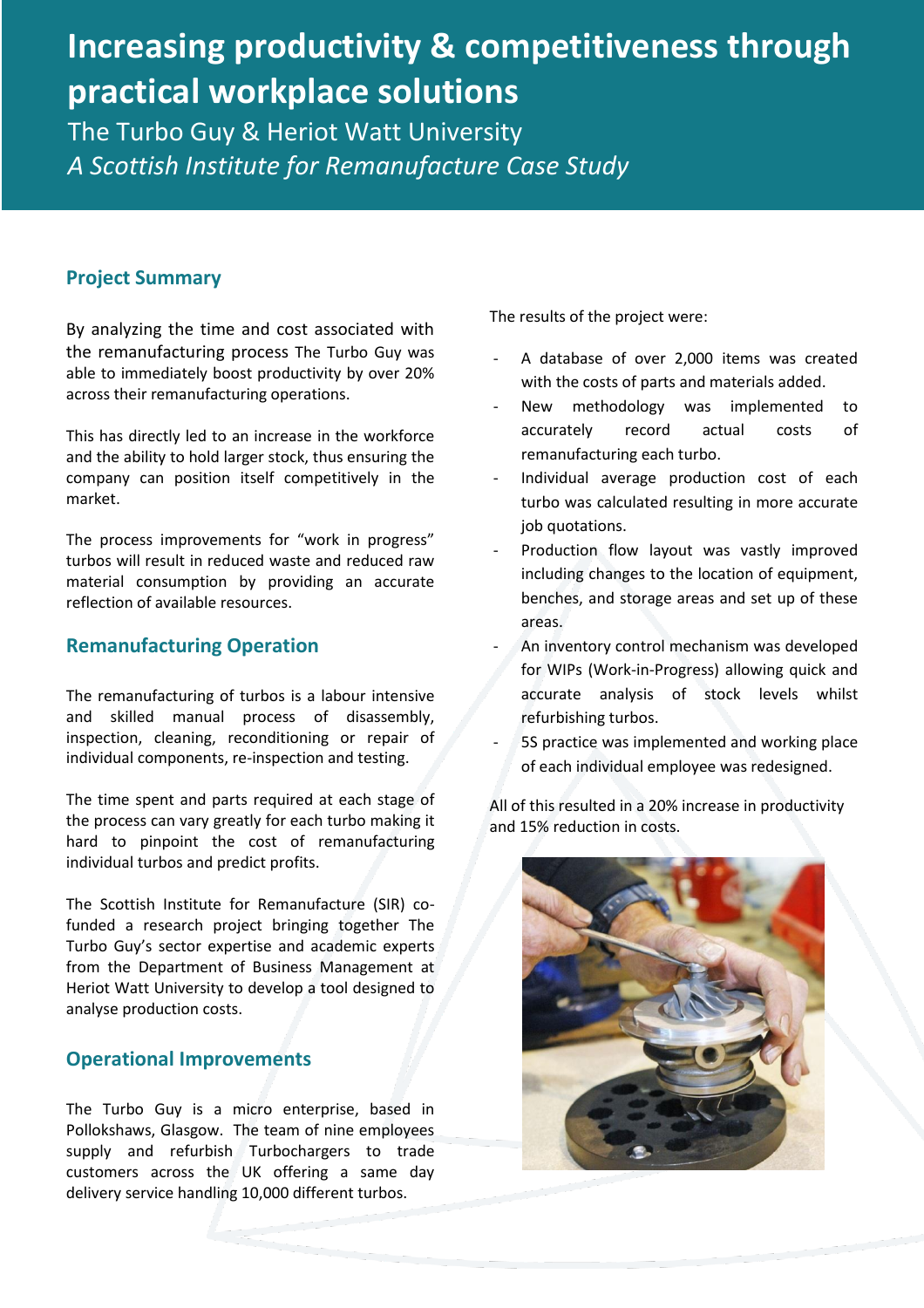# **Increasing productivity & competitiveness through practical workplace solutions**

The Turbo Guy & Heriot Watt University *A Scottish Institute for Remanufacture Case Study* 

#### **Project Summary**

By analyzing the time and cost associated with the remanufacturing process The Turbo Guy was able to immediately boost productivity by over 20% across their remanufacturing operations.

This has directly led to an increase in the workforce and the ability to hold larger stock, thus ensuring the company can position itself competitively in the market.

The process improvements for "work in progress" turbos will result in reduced waste and reduced raw material consumption by providing an accurate reflection of available resources.

### **Remanufacturing Operation**

The remanufacturing of turbos is a labour intensive and skilled manual process of disassembly, inspection, cleaning, reconditioning or repair of individual components, re-inspection and testing.

The time spent and parts required at each stage of the process can vary greatly for each turbo making it hard to pinpoint the cost of remanufacturing individual turbos and predict profits.

The Scottish Institute for Remanufacture (SIR) cofunded a research project bringing together The Turbo Guy's sector expertise and academic experts from the Department of Business Management at Heriot Watt University to develop a tool designed to analyse production costs.

#### **Operational Improvements**

The Turbo Guy is a micro enterprise, based in Pollokshaws, Glasgow. The team of nine employees supply and refurbish Turbochargers to trade customers across the UK offering a same day delivery service handling 10,000 different turbos.

The results of the project were:

- A database of over 2,000 items was created with the costs of parts and materials added.
- New methodology was implemented to accurately record actual costs of remanufacturing each turbo.
- Individual average production cost of each turbo was calculated resulting in more accurate job quotations.
- Production flow layout was vastly improved including changes to the location of equipment, benches, and storage areas and set up of these areas.
- An inventory control mechanism was developed for WIPs (Work-in-Progress) allowing quick and accurate analysis of stock levels whilst refurbishing turbos.
- 5S practice was implemented and working place of each individual employee was redesigned.

All of this resulted in a 20% increase in productivity and 15% reduction in costs.